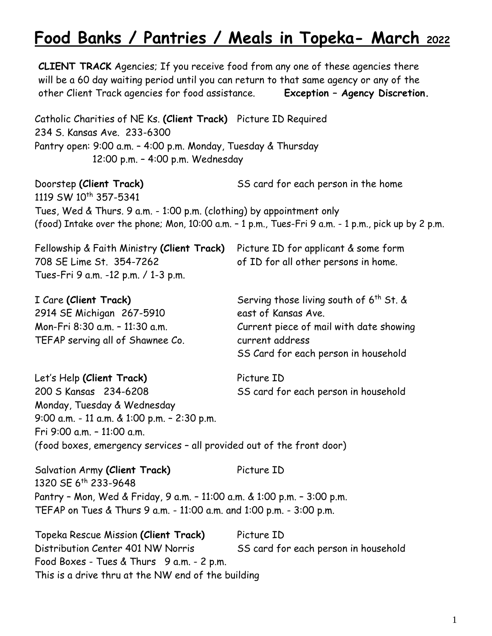# **Food Banks / Pantries / Meals in Topeka- March <sup>2022</sup>**

**CLIENT TRACK** Agencies; If you receive food from any one of these agencies there will be a 60 day waiting period until you can return to that same agency or any of the other Client Track agencies for food assistance. **Exception – Agency Discretion.** Catholic Charities of NE Ks. **(Client Track)** Picture ID Required 234 S. Kansas Ave. 233-6300 Pantry open: 9:00 a.m. – 4:00 p.m. Monday, Tuesday & Thursday 12:00 p.m. – 4:00 p.m. Wednesday Doorstep **(Client Track)** SS card for each person in the home 1119 SW 10<sup>th</sup> 357-5341 Tues, Wed & Thurs. 9 a.m. - 1:00 p.m. (clothing) by appointment only (food) Intake over the phone; Mon, 10:00 a.m. – 1 p.m., Tues-Fri 9 a.m. - 1 p.m., pick up by 2 p.m. Fellowship & Faith Ministry **(Client Track)** Picture ID for applicant & some form 708 SE Lime St. 354-7262 of ID for all other persons in home. Tues-Fri 9 a.m. -12 p.m. / 1-3 p.m. I Care (Client Track) Serving those living south of 6<sup>th</sup> St. & 2914 SE Michigan 267-5910 east of Kansas Ave. Mon-Fri 8:30 a.m. – 11:30 a.m. Current piece of mail with date showing TEFAP serving all of Shawnee Co. Current address SS Card for each person in household Let's Help (Client Track) Picture ID 200 S Kansas 234-6208 SS card for each person in household Monday, Tuesday & Wednesday 9:00 a.m. - 11 a.m. & 1:00 p.m. – 2:30 p.m. Fri 9:00 a.m. – 11:00 a.m. (food boxes, emergency services – all provided out of the front door) Salvation Army (Client Track) Picture ID 1320 SE 6th 233-9648 Pantry – Mon, Wed & Friday, 9 a.m. – 11:00 a.m. & 1:00 p.m. – 3:00 p.m. TEFAP on Tues & Thurs 9 a.m. - 11:00 a.m. and 1:00 p.m. - 3:00 p.m. Topeka Rescue Mission **(Client Track)** Picture ID Distribution Center 401 NW Norris SS card for each person in household Food Boxes - Tues & Thurs 9 a.m. - 2 p.m. This is a drive thru at the NW end of the building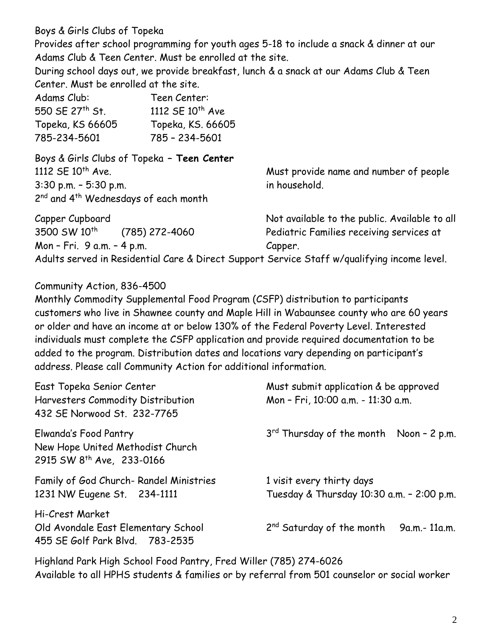Boys & Girls Clubs of Topeka

Provides after school programming for youth ages 5-18 to include a snack & dinner at our Adams Club & Teen Center. Must be enrolled at the site.

During school days out, we provide breakfast, lunch & a snack at our Adams Club & Teen Center. Must be enrolled at the site.

| Adams Club:      | Teen Center:                 |
|------------------|------------------------------|
| 550 SE 27th St.  | 1112 SE 10 <sup>th</sup> Ave |
| Topeka, KS 66605 | Topeka, KS. 66605            |
| 785-234-5601     | 785 - 234-5601               |

Boys & Girls Clubs of Topeka **– Teen Center** 1112 SE 10<sup>th</sup> Ave. **Must provide name and number of people** 3:30 p.m. – 5:30 p.m. in household. 2<sup>nd</sup> and 4<sup>th</sup> Wednesdays of each month

| Capper Cupboard            |                  | Not available to the public. Available to all                                               |
|----------------------------|------------------|---------------------------------------------------------------------------------------------|
| 3500 SW 10 <sup>th</sup>   | $(785)$ 272-4060 | Pediatric Families receiving services at                                                    |
| Mon - Fri. 9 a.m. - 4 p.m. |                  | Capper.                                                                                     |
|                            |                  | Adults served in Residential Care & Direct Support Service Staff w/qualifying income level. |

### Community Action, 836-4500

Monthly Commodity Supplemental Food Program (CSFP) distribution to participants customers who live in Shawnee county and Maple Hill in Wabaunsee county who are 60 years or older and have an income at or below 130% of the Federal Poverty Level. Interested individuals must complete the CSFP application and provide required documentation to be added to the program. Distribution dates and locations vary depending on participant's address. Please call Community Action for additional information.

| East Topeka Senior Center<br>Harvesters Commodity Distribution<br>432 SE Norwood St. 232-7765      | Must submit application & be approved<br>Mon - Fri, 10:00 a.m. - 11:30 a.m. |  |
|----------------------------------------------------------------------------------------------------|-----------------------------------------------------------------------------|--|
| Elwanda's Food Pantry<br>New Hope United Methodist Church<br>2915 SW 8 <sup>th</sup> Ave, 233-0166 | $3rd$ Thursday of the month Noon - 2 p.m.                                   |  |
| Family of God Church- Randel Ministries<br>1231 NW Eugene St. 234-1111                             | 1 visit every thirty days<br>Tuesday & Thursday 10:30 a.m. - 2:00 p.m.      |  |
| Hi-Crest Market<br>Old Avondale East Elementary School<br>455 SE Golf Park Blvd. 783-2535          | $2nd$ Saturday of the month 9a.m.-11a.m.                                    |  |

Highland Park High School Food Pantry, Fred Willer (785) 274-6026 Available to all HPHS students & families or by referral from 501 counselor or social worker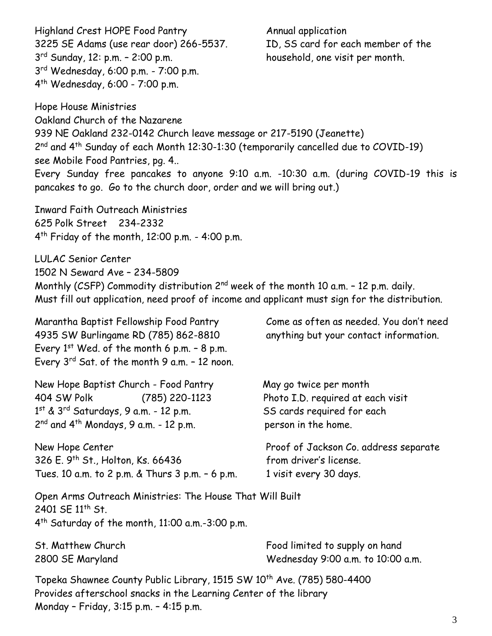Highland Crest HOPE Food Pantry **Annual application** 3225 SE Adams (use rear door) 266-5537. ID, SS card for each member of the  $3^{rd}$  Sunday, 12: p.m. - 2:00 p.m. 3 rd Wednesday, 6:00 p.m. - 7:00 p.m. 4 th Wednesday, 6:00 - 7:00 p.m.

household, one visit per month.

Hope House Ministries Oakland Church of the Nazarene 939 NE Oakland 232-0142 Church leave message or 217-5190 (Jeanette) 2<sup>nd</sup> and 4<sup>th</sup> Sunday of each Month 12:30-1:30 (temporarily cancelled due to COVID-19) see Mobile Food Pantries, pg. 4.. Every Sunday free pancakes to anyone 9:10 a.m. -10:30 a.m. (during COVID-19 this is pancakes to go. Go to the church door, order and we will bring out.)

Inward Faith Outreach Ministries 625 Polk Street 234-2332 4 th Friday of the month, 12:00 p.m. - 4:00 p.m.

LULAC Senior Center 1502 N Seward Ave – 234-5809 Monthly (CSFP) Commodity distribution 2<sup>nd</sup> week of the month 10 a.m. - 12 p.m. daily. Must fill out application, need proof of income and applicant must sign for the distribution.

Marantha Baptist Fellowship Food Pantry Come as often as needed. You don't need 4935 SW Burlingame RD (785) 862-8810 anything but your contact information. Every  $1<sup>st</sup>$  Wed. of the month 6 p.m.  $-8$  p.m. Every 3rd Sat. of the month 9 a.m. – 12 noon.

New Hope Baptist Church - Food Pantry May go twice per month 404 SW Polk (785) 220-1123 Photo I.D. required at each visit 1<sup>st</sup> & 3<sup>rd</sup> Saturdays, 9 a.m. - 12 p.m. SS cards required for each  $2<sup>nd</sup>$  and  $4<sup>th</sup>$  Mondays, 9 a.m. - 12 p.m. person in the home.

New Hope Center **Proof of Jackson Co. address separate** 326 E. 9<sup>th</sup> St., Holton, Ks. 66436 from driver's license. Tues. 10 a.m. to 2 p.m.  $\&$  Thurs 3 p.m. - 6 p.m. 1 visit every 30 days.

Open Arms Outreach Ministries: The House That Will Built 2401 SE 11<sup>th</sup> St. 4 th Saturday of the month, 11:00 a.m.-3:00 p.m.

St. Matthew Church Food limited to supply on hand 2800 SE Maryland Wednesday 9:00 a.m. to 10:00 a.m.

Topeka Shawnee County Public Library, 1515 SW 10<sup>th</sup> Ave. (785) 580-4400 Provides afterschool snacks in the Learning Center of the library Monday – Friday, 3:15 p.m. – 4:15 p.m.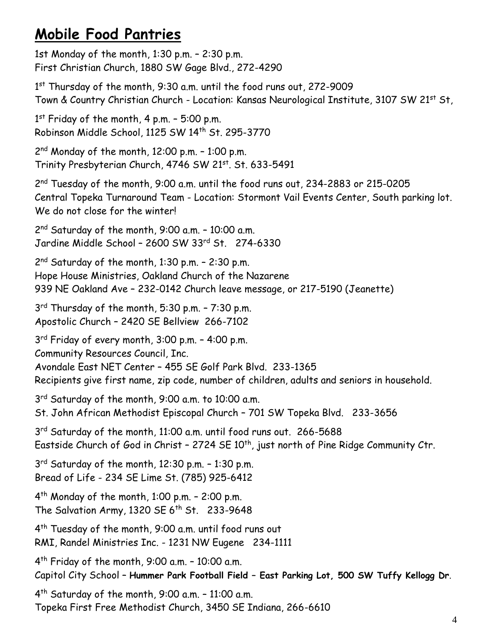## **Mobile Food Pantries**

1st Monday of the month, 1:30 p.m. – 2:30 p.m. First Christian Church, 1880 SW Gage Blvd., 272-4290

1 st Thursday of the month, 9:30 a.m. until the food runs out, 272-9009 Town & Country Christian Church - Location: Kansas Neurological Institute, 3107 SW 21st St,

1 st Friday of the month, 4 p.m. – 5:00 p.m. Robinson Middle School, 1125 SW 14th St. 295-3770

2 nd Monday of the month, 12:00 p.m. – 1:00 p.m. Trinity Presbyterian Church, 4746 SW 21st, St. 633-5491

2 nd Tuesday of the month, 9:00 a.m. until the food runs out, 234-2883 or 215-0205 Central Topeka Turnaround Team - Location: Stormont Vail Events Center, South parking lot. We do not close for the winter!

2 nd Saturday of the month, 9:00 a.m. – 10:00 a.m. Jardine Middle School – 2600 SW 33rd St. 274-6330

2 nd Saturday of the month, 1:30 p.m. – 2:30 p.m. Hope House Ministries, Oakland Church of the Nazarene 939 NE Oakland Ave – 232-0142 Church leave message, or 217-5190 (Jeanette)

3 rd Thursday of the month, 5:30 p.m. – 7:30 p.m. Apostolic Church – 2420 SE Bellview 266-7102

3 rd Friday of every month, 3:00 p.m. – 4:00 p.m. Community Resources Council, Inc. Avondale East NET Center – 455 SE Golf Park Blvd. 233-1365 Recipients give first name, zip code, number of children, adults and seniors in household.

3 rd Saturday of the month, 9:00 a.m. to 10:00 a.m. St. John African Methodist Episcopal Church – 701 SW Topeka Blvd. 233-3656

3<sup>rd</sup> Saturday of the month, 11:00 a.m. until food runs out. 266-5688 Eastside Church of God in Christ - 2724 SE 10<sup>th</sup>, just north of Pine Ridge Community Ctr.

3 rd Saturday of the month, 12:30 p.m. – 1:30 p.m. Bread of Life - 234 SE Lime St. (785) 925-6412

4 th Monday of the month, 1:00 p.m. – 2:00 p.m. The Salvation Army, 1320 SE  $6<sup>th</sup>$  St. 233-9648

4 th Tuesday of the month, 9:00 a.m. until food runs out RMI, Randel Ministries Inc. - 1231 NW Eugene 234-1111

4 th Friday of the month, 9:00 a.m. – 10:00 a.m. Capitol City School – **Hummer Park Football Field – East Parking Lot, 500 SW Tuffy Kellogg Dr**.

4 th Saturday of the month, 9:00 a.m. – 11:00 a.m. Topeka First Free Methodist Church, 3450 SE Indiana, 266-6610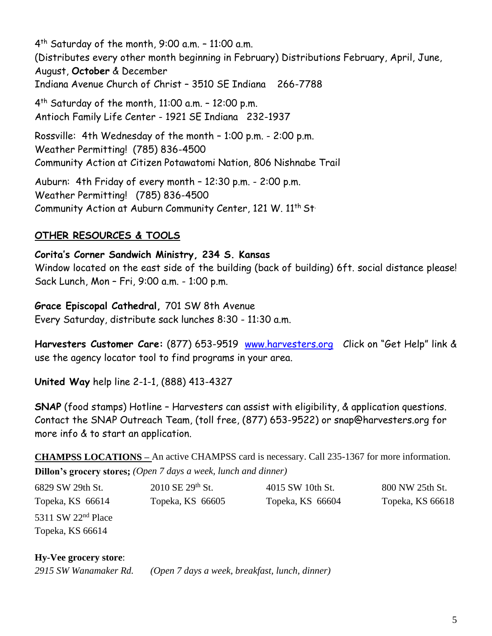4 th Saturday of the month, 9:00 a.m. – 11:00 a.m. (Distributes every other month beginning in February) Distributions February, April, June, August, **October** & December Indiana Avenue Church of Christ – 3510 SE Indiana 266-7788 4 th Saturday of the month, 11:00 a.m. – 12:00 p.m. Antioch Family Life Center - 1921 SE Indiana 232-1937 Rossville: 4th Wednesday of the month – 1:00 p.m. - 2:00 p.m. Weather Permitting! (785) 836-4500 Community Action at Citizen Potawatomi Nation, 806 Nishnabe Trail Auburn: 4th Friday of every month – 12:30 p.m. - 2:00 p.m. Weather Permitting! (785) 836-4500 Community Action at Auburn Community Center, 121 W. 11<sup>th</sup> St<sup>.</sup>

## **OTHER RESOURCES & TOOLS**

**Corita's Corner Sandwich Ministry, 234 S. Kansas**  Window located on the east side of the building (back of building) 6ft. social distance please! Sack Lunch, Mon – Fri, 9:00 a.m. - 1:00 p.m.

**Grace Episcopal Cathedral,** 701 SW 8th Avenue Every Saturday, distribute sack lunches 8:30 - 11:30 a.m.

**Harvesters Customer Care:** (877) 653-9519 [www.harvesters.org](http://www.harvesters.org/) Click on "Get Help" link & use the agency locator tool to find programs in your area.

**United Way** help line 2-1-1, (888) 413-4327

**SNAP** (food stamps) Hotline - Harvesters can assist with eligibility, & application questions. Contact the SNAP Outreach Team, (toll free, (877) 653-9522) or snap@harvesters.org for more info & to start an application.

**CHAMPSS LOCATIONS –** An active CHAMPSS card is necessary. Call 235-1367 for more information. **Dillon's grocery stores;** *(Open 7 days a week, lunch and dinner)*

| 6829 SW 29th St.     | $2010 \text{ SE } 29^{\text{th}} \text{ St.}$ | 4015 SW 10th St. | 800 NW 25th St.  |
|----------------------|-----------------------------------------------|------------------|------------------|
| Topeka, KS 66614     | Topeka, KS 66605                              | Topeka, KS 66604 | Topeka, KS 66618 |
| 5311 SW $22nd$ Place |                                               |                  |                  |
| Topeka, KS 66614     |                                               |                  |                  |

#### **Hy-Vee grocery store**:

*2915 SW Wanamaker Rd. (Open 7 days a week, breakfast, lunch, dinner)*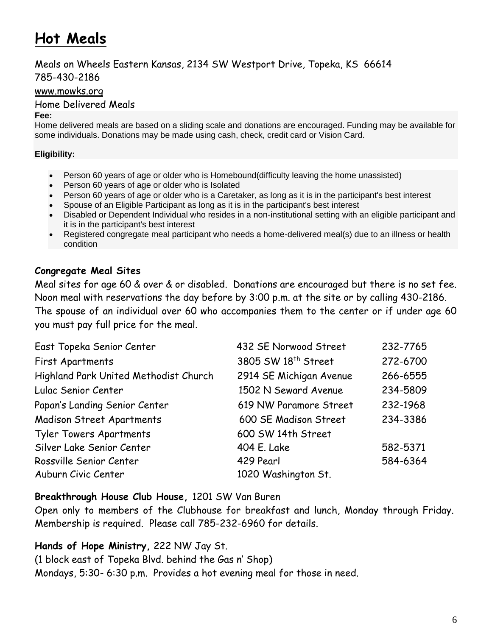# **Hot Meals**

Meals on Wheels Eastern Kansas, 2134 SW Westport Drive, Topeka, KS 66614 785-430-2186

[www.mowks.org](http://www.mowks.org/)

Home Delivered Meals

#### **Fee:**

Home delivered meals are based on a sliding scale and donations are encouraged. Funding may be available for some individuals. Donations may be made using cash, check, credit card or Vision Card.

#### **Eligibility:**

- Person 60 years of age or older who is Homebound (difficulty leaving the home unassisted)
- Person 60 years of age or older who is Isolated
- Person 60 years of age or older who is a Caretaker, as long as it is in the participant's best interest
- Spouse of an Eligible Participant as long as it is in the participant's best interest
- Disabled or Dependent Individual who resides in a non-institutional setting with an eligible participant and it is in the participant's best interest
- Registered congregate meal participant who needs a home-delivered meal(s) due to an illness or health condition

## **Congregate Meal Sites**

Meal sites for age 60 & over & or disabled. Donations are encouraged but there is no set fee. Noon meal with reservations the day before by 3:00 p.m. at the site or by calling 430-2186. The spouse of an individual over 60 who accompanies them to the center or if under age 60 you must pay full price for the meal.

| East Topeka Senior Center             | 432 SE Norwood Street           | 232-7765 |
|---------------------------------------|---------------------------------|----------|
| First Apartments                      | 3805 SW 18 <sup>th</sup> Street | 272-6700 |
| Highland Park United Methodist Church | 2914 SE Michigan Avenue         | 266-6555 |
| Lulac Senior Center                   | 1502 N Seward Avenue            | 234-5809 |
| Papan's Landing Senior Center         | 619 NW Paramore Street          | 232-1968 |
| <b>Madison Street Apartments</b>      | 600 SE Madison Street           | 234-3386 |
| <b>Tyler Towers Apartments</b>        | 600 SW 14th Street              |          |
| Silver Lake Senior Center             | 404 E. Lake                     | 582-5371 |
| Rossville Senior Center               | 429 Pearl                       | 584-6364 |
| Auburn Civic Center                   | 1020 Washington St.             |          |

#### **Breakthrough House Club House,** 1201 SW Van Buren

Open only to members of the Clubhouse for breakfast and lunch, Monday through Friday. Membership is required. Please call 785-232-6960 for details.

## **Hands of Hope Ministry,** 222 NW Jay St.

(1 block east of Topeka Blvd. behind the Gas n' Shop) Mondays, 5:30- 6:30 p.m. Provides a hot evening meal for those in need.